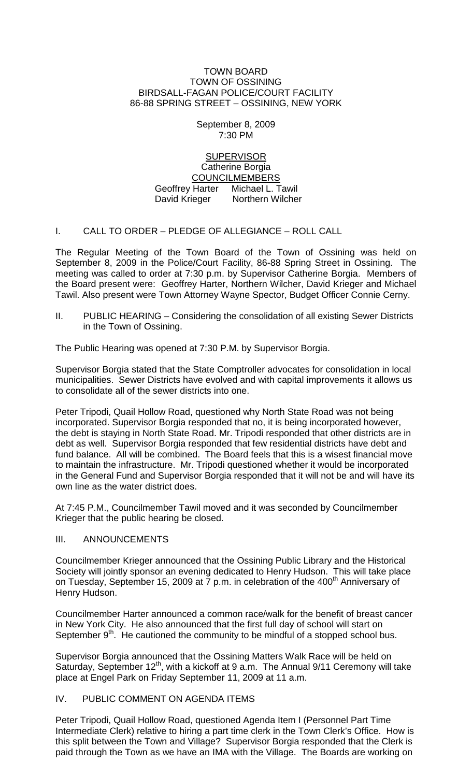#### TOWN BOARD TOWN OF OSSINING BIRDSALL-FAGAN POLICE/COURT FACILITY 86-88 SPRING STREET – OSSINING, NEW YORK

## September 8, 2009 7:30 PM

**SUPERVISOR** Catherine Borgia COUNCILMEMBERS Geoffrey Harter Michael L. Tawil David Krieger Northern Wilcher

# I. CALL TO ORDER – PLEDGE OF ALLEGIANCE – ROLL CALL

The Regular Meeting of the Town Board of the Town of Ossining was held on September 8, 2009 in the Police/Court Facility, 86-88 Spring Street in Ossining. The meeting was called to order at 7:30 p.m. by Supervisor Catherine Borgia. Members of the Board present were: Geoffrey Harter, Northern Wilcher, David Krieger and Michael Tawil. Also present were Town Attorney Wayne Spector, Budget Officer Connie Cerny.

II. PUBLIC HEARING – Considering the consolidation of all existing Sewer Districts in the Town of Ossining.

The Public Hearing was opened at 7:30 P.M. by Supervisor Borgia.

Supervisor Borgia stated that the State Comptroller advocates for consolidation in local municipalities. Sewer Districts have evolved and with capital improvements it allows us to consolidate all of the sewer districts into one.

Peter Tripodi, Quail Hollow Road, questioned why North State Road was not being incorporated. Supervisor Borgia responded that no, it is being incorporated however, the debt is staying in North State Road. Mr. Tripodi responded that other districts are in debt as well. Supervisor Borgia responded that few residential districts have debt and fund balance. All will be combined. The Board feels that this is a wisest financial move to maintain the infrastructure. Mr. Tripodi questioned whether it would be incorporated in the General Fund and Supervisor Borgia responded that it will not be and will have its own line as the water district does.

At 7:45 P.M., Councilmember Tawil moved and it was seconded by Councilmember Krieger that the public hearing be closed.

### III. ANNOUNCEMENTS

Councilmember Krieger announced that the Ossining Public Library and the Historical Society will jointly sponsor an evening dedicated to Henry Hudson. This will take place on Tuesday, September 15, 2009 at 7 p.m. in celebration of the  $400<sup>th</sup>$  Anniversary of Henry Hudson.

Councilmember Harter announced a common race/walk for the benefit of breast cancer in New York City. He also announced that the first full day of school will start on September  $9<sup>th</sup>$ . He cautioned the community to be mindful of a stopped school bus.

Supervisor Borgia announced that the Ossining Matters Walk Race will be held on Saturday, September  $12^{th}$ , with a kickoff at 9 a.m. The Annual 9/11 Ceremony will take place at Engel Park on Friday September 11, 2009 at 11 a.m.

### IV. PUBLIC COMMENT ON AGENDA ITEMS

Peter Tripodi, Quail Hollow Road, questioned Agenda Item I (Personnel Part Time Intermediate Clerk) relative to hiring a part time clerk in the Town Clerk's Office. How is this split between the Town and Village? Supervisor Borgia responded that the Clerk is paid through the Town as we have an IMA with the Village. The Boards are working on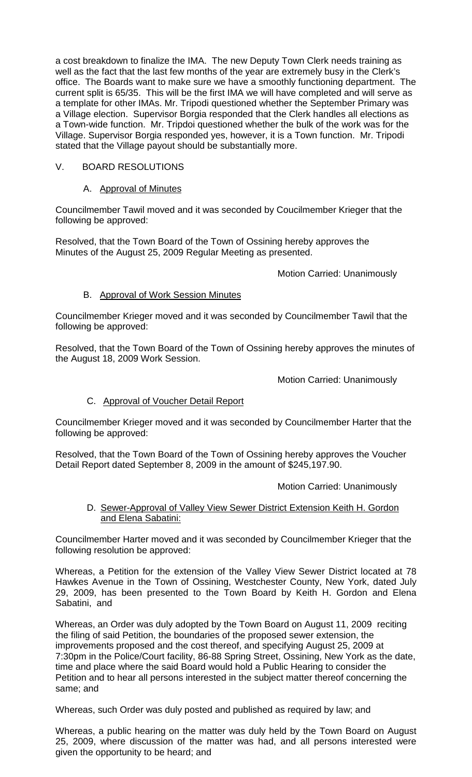a cost breakdown to finalize the IMA. The new Deputy Town Clerk needs training as well as the fact that the last few months of the year are extremely busy in the Clerk's office. The Boards want to make sure we have a smoothly functioning department. The current split is 65/35. This will be the first IMA we will have completed and will serve as a template for other IMAs. Mr. Tripodi questioned whether the September Primary was a Village election. Supervisor Borgia responded that the Clerk handles all elections as a Town-wide function. Mr. Tripdoi questioned whether the bulk of the work was for the Village. Supervisor Borgia responded yes, however, it is a Town function. Mr. Tripodi stated that the Village payout should be substantially more.

# V. BOARD RESOLUTIONS

# A. Approval of Minutes

Councilmember Tawil moved and it was seconded by Coucilmember Krieger that the following be approved:

Resolved, that the Town Board of the Town of Ossining hereby approves the Minutes of the August 25, 2009 Regular Meeting as presented.

Motion Carried: Unanimously

# B. Approval of Work Session Minutes

Councilmember Krieger moved and it was seconded by Councilmember Tawil that the following be approved:

Resolved, that the Town Board of the Town of Ossining hereby approves the minutes of the August 18, 2009 Work Session.

Motion Carried: Unanimously

# C. Approval of Voucher Detail Report

Councilmember Krieger moved and it was seconded by Councilmember Harter that the following be approved:

Resolved, that the Town Board of the Town of Ossining hereby approves the Voucher Detail Report dated September 8, 2009 in the amount of \$245,197.90.

# Motion Carried: Unanimously

## D. Sewer-Approval of Valley View Sewer District Extension Keith H. Gordon and Elena Sabatini:

Councilmember Harter moved and it was seconded by Councilmember Krieger that the following resolution be approved:

Whereas, a Petition for the extension of the Valley View Sewer District located at 78 Hawkes Avenue in the Town of Ossining, Westchester County, New York, dated July 29, 2009, has been presented to the Town Board by Keith H. Gordon and Elena Sabatini, and

Whereas, an Order was duly adopted by the Town Board on August 11, 2009 reciting the filing of said Petition, the boundaries of the proposed sewer extension, the improvements proposed and the cost thereof, and specifying August 25, 2009 at 7:30pm in the Police/Court facility, 86-88 Spring Street, Ossining, New York as the date, time and place where the said Board would hold a Public Hearing to consider the Petition and to hear all persons interested in the subject matter thereof concerning the same; and

Whereas, such Order was duly posted and published as required by law; and

Whereas, a public hearing on the matter was duly held by the Town Board on August 25, 2009, where discussion of the matter was had, and all persons interested were given the opportunity to be heard; and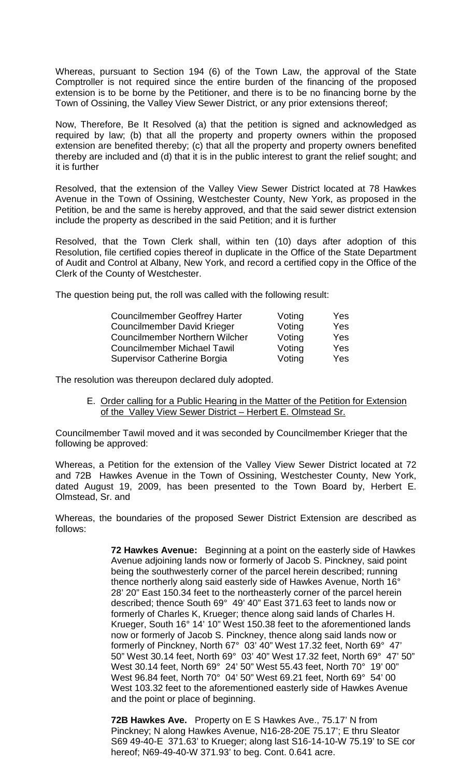Whereas, pursuant to Section 194 (6) of the Town Law, the approval of the State Comptroller is not required since the entire burden of the financing of the proposed extension is to be borne by the Petitioner, and there is to be no financing borne by the Town of Ossining, the Valley View Sewer District, or any prior extensions thereof;

Now, Therefore, Be It Resolved (a) that the petition is signed and acknowledged as required by law; (b) that all the property and property owners within the proposed extension are benefited thereby; (c) that all the property and property owners benefited thereby are included and (d) that it is in the public interest to grant the relief sought; and it is further

Resolved, that the extension of the Valley View Sewer District located at 78 Hawkes Avenue in the Town of Ossining, Westchester County, New York, as proposed in the Petition, be and the same is hereby approved, and that the said sewer district extension include the property as described in the said Petition; and it is further

Resolved, that the Town Clerk shall, within ten (10) days after adoption of this Resolution, file certified copies thereof in duplicate in the Office of the State Department of Audit and Control at Albany, New York, and record a certified copy in the Office of the Clerk of the County of Westchester.

The question being put, the roll was called with the following result:

| <b>Councilmember Geoffrey Harter</b>  | Voting | Yes |
|---------------------------------------|--------|-----|
| <b>Councilmember David Krieger</b>    | Voting | Yes |
| <b>Councilmember Northern Wilcher</b> | Voting | Yes |
| <b>Councilmember Michael Tawil</b>    | Voting | Yes |
| Supervisor Catherine Borgia           | Voting | Yes |

The resolution was thereupon declared duly adopted.

E. Order calling for a Public Hearing in the Matter of the Petition for Extension of the Valley View Sewer District – Herbert E. Olmstead Sr.

Councilmember Tawil moved and it was seconded by Councilmember Krieger that the following be approved:

Whereas, a Petition for the extension of the Valley View Sewer District located at 72 and 72B Hawkes Avenue in the Town of Ossining, Westchester County, New York, dated August 19, 2009, has been presented to the Town Board by, Herbert E. Olmstead, Sr. and

Whereas, the boundaries of the proposed Sewer District Extension are described as follows:

> **72 Hawkes Avenue:** Beginning at a point on the easterly side of Hawkes Avenue adjoining lands now or formerly of Jacob S. Pinckney, said point being the southwesterly corner of the parcel herein described; running thence northerly along said easterly side of Hawkes Avenue, North 16° 28' 20" East 150.34 feet to the northeasterly corner of the parcel herein described; thence South 69° 49' 40" East 371.63 feet to lands now or formerly of Charles K, Krueger; thence along said lands of Charles H. Krueger, South 16° 14' 10" West 150.38 feet to the aforementioned lands now or formerly of Jacob S. Pinckney, thence along said lands now or formerly of Pinckney, North 67° 03' 40" West 17.32 feet, North 69° 47' 50" West 30.14 feet, North 69° 03' 40" West 17.32 feet, North 69° 47' 50" West 30.14 feet, North 69° 24' 50" West 55.43 feet, North 70° 19' 00" West 96.84 feet, North 70° 04' 50" West 69.21 feet, North 69° 54' 00 West 103.32 feet to the aforementioned easterly side of Hawkes Avenue and the point or place of beginning.

> **72B Hawkes Ave.** Property on E S Hawkes Ave., 75.17' N from Pinckney; N along Hawkes Avenue, N16-28-20E 75.17'; E thru Sleator S69 49-40-E 371.63' to Krueger; along last S16-14-10-W 75.19' to SE cor hereof; N69-49-40-W 371.93' to beg. Cont. 0.641 acre.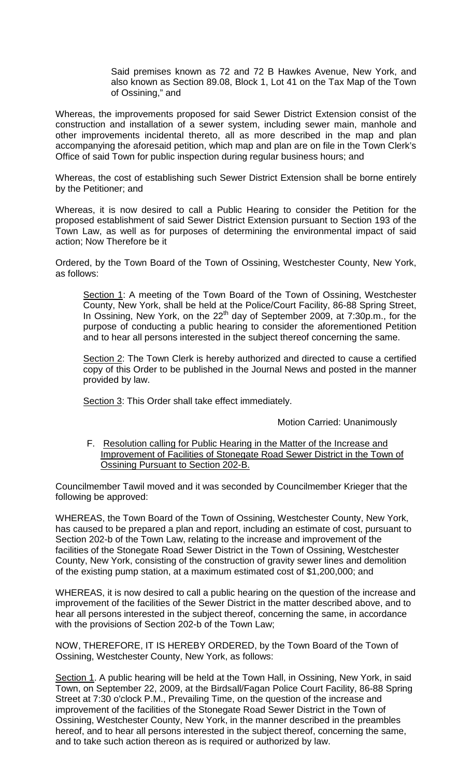Said premises known as 72 and 72 B Hawkes Avenue, New York, and also known as Section 89.08, Block 1, Lot 41 on the Tax Map of the Town of Ossining," and

Whereas, the improvements proposed for said Sewer District Extension consist of the construction and installation of a sewer system, including sewer main, manhole and other improvements incidental thereto, all as more described in the map and plan accompanying the aforesaid petition, which map and plan are on file in the Town Clerk's Office of said Town for public inspection during regular business hours; and

Whereas, the cost of establishing such Sewer District Extension shall be borne entirely by the Petitioner; and

Whereas, it is now desired to call a Public Hearing to consider the Petition for the proposed establishment of said Sewer District Extension pursuant to Section 193 of the Town Law, as well as for purposes of determining the environmental impact of said action; Now Therefore be it

Ordered, by the Town Board of the Town of Ossining, Westchester County, New York, as follows:

Section 1: A meeting of the Town Board of the Town of Ossining, Westchester County, New York, shall be held at the Police/Court Facility, 86-88 Spring Street, In Ossining, New York, on the 22th day of September 2009, at 7:30p.m., for the purpose of conducting a public hearing to consider the aforementioned Petition and to hear all persons interested in the subject thereof concerning the same.

Section 2: The Town Clerk is hereby authorized and directed to cause a certified copy of this Order to be published in the Journal News and posted in the manner provided by law.

Section 3: This Order shall take effect immediately.

Motion Carried: Unanimously

F. Resolution calling for Public Hearing in the Matter of the Increase and Improvement of Facilities of Stonegate Road Sewer District in the Town of Ossining Pursuant to Section 202-B.

Councilmember Tawil moved and it was seconded by Councilmember Krieger that the following be approved:

WHEREAS, the Town Board of the Town of Ossining, Westchester County, New York, has caused to be prepared a plan and report, including an estimate of cost, pursuant to Section 202-b of the Town Law, relating to the increase and improvement of the facilities of the Stonegate Road Sewer District in the Town of Ossining, Westchester County, New York, consisting of the construction of gravity sewer lines and demolition of the existing pump station, at a maximum estimated cost of \$1,200,000; and

WHEREAS, it is now desired to call a public hearing on the question of the increase and improvement of the facilities of the Sewer District in the matter described above, and to hear all persons interested in the subject thereof, concerning the same, in accordance with the provisions of Section 202-b of the Town Law;

NOW, THEREFORE, IT IS HEREBY ORDERED, by the Town Board of the Town of Ossining, Westchester County, New York, as follows:

Section 1. A public hearing will be held at the Town Hall, in Ossining, New York, in said Town, on September 22, 2009, at the Birdsall/Fagan Police Court Facility, 86-88 Spring Street at 7:30 o'clock P.M., Prevailing Time, on the question of the increase and improvement of the facilities of the Stonegate Road Sewer District in the Town of Ossining, Westchester County, New York, in the manner described in the preambles hereof, and to hear all persons interested in the subject thereof, concerning the same, and to take such action thereon as is required or authorized by law.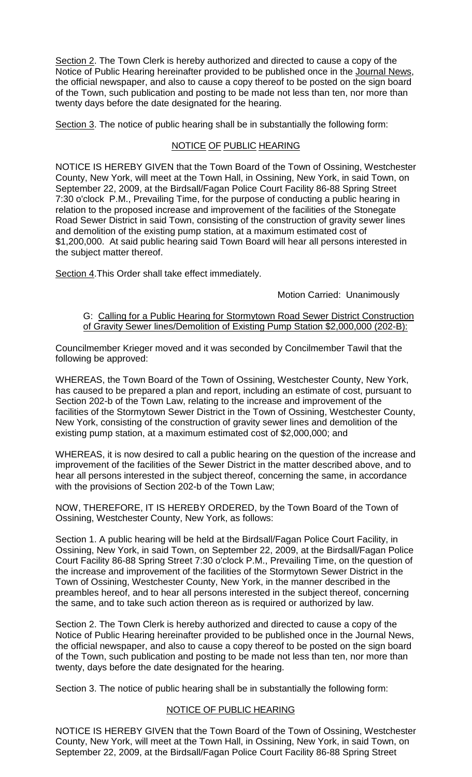Section 2. The Town Clerk is hereby authorized and directed to cause a copy of the Notice of Public Hearing hereinafter provided to be published once in the Journal News, the official newspaper, and also to cause a copy thereof to be posted on the sign board of the Town, such publication and posting to be made not less than ten, nor more than twenty days before the date designated for the hearing.

Section 3. The notice of public hearing shall be in substantially the following form:

# NOTICE OF PUBLIC HEARING

NOTICE IS HEREBY GIVEN that the Town Board of the Town of Ossining, Westchester County, New York, will meet at the Town Hall, in Ossining, New York, in said Town, on September 22, 2009, at the Birdsall/Fagan Police Court Facility 86-88 Spring Street 7:30 o'clock P.M., Prevailing Time, for the purpose of conducting a public hearing in relation to the proposed increase and improvement of the facilities of the Stonegate Road Sewer District in said Town, consisting of the construction of gravity sewer lines and demolition of the existing pump station, at a maximum estimated cost of \$1,200,000. At said public hearing said Town Board will hear all persons interested in the subject matter thereof.

Section 4. This Order shall take effect immediately.

Motion Carried: Unanimously

### G: Calling for a Public Hearing for Stormytown Road Sewer District Construction of Gravity Sewer lines/Demolition of Existing Pump Station \$2,000,000 (202-B):

Councilmember Krieger moved and it was seconded by Concilmember Tawil that the following be approved:

WHEREAS, the Town Board of the Town of Ossining, Westchester County, New York, has caused to be prepared a plan and report, including an estimate of cost, pursuant to Section 202-b of the Town Law, relating to the increase and improvement of the facilities of the Stormytown Sewer District in the Town of Ossining, Westchester County, New York, consisting of the construction of gravity sewer lines and demolition of the existing pump station, at a maximum estimated cost of \$2,000,000; and

WHEREAS, it is now desired to call a public hearing on the question of the increase and improvement of the facilities of the Sewer District in the matter described above, and to hear all persons interested in the subject thereof, concerning the same, in accordance with the provisions of Section 202-b of the Town Law;

NOW, THEREFORE, IT IS HEREBY ORDERED, by the Town Board of the Town of Ossining, Westchester County, New York, as follows:

Section 1. A public hearing will be held at the Birdsall/Fagan Police Court Facility, in Ossining, New York, in said Town, on September 22, 2009, at the Birdsall/Fagan Police Court Facility 86-88 Spring Street 7:30 o'clock P.M., Prevailing Time, on the question of the increase and improvement of the facilities of the Stormytown Sewer District in the Town of Ossining, Westchester County, New York, in the manner described in the preambles hereof, and to hear all persons interested in the subject thereof, concerning the same, and to take such action thereon as is required or authorized by law.

Section 2. The Town Clerk is hereby authorized and directed to cause a copy of the Notice of Public Hearing hereinafter provided to be published once in the Journal News, the official newspaper, and also to cause a copy thereof to be posted on the sign board of the Town, such publication and posting to be made not less than ten, nor more than twenty, days before the date designated for the hearing.

Section 3. The notice of public hearing shall be in substantially the following form:

# NOTICE OF PUBLIC HEARING

NOTICE IS HEREBY GIVEN that the Town Board of the Town of Ossining, Westchester County, New York, will meet at the Town Hall, in Ossining, New York, in said Town, on September 22, 2009, at the Birdsall/Fagan Police Court Facility 86-88 Spring Street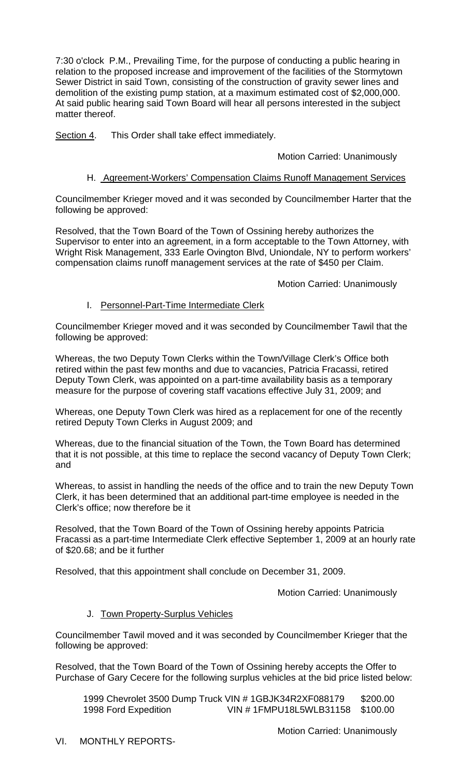7:30 o'clock P.M., Prevailing Time, for the purpose of conducting a public hearing in relation to the proposed increase and improvement of the facilities of the Stormytown Sewer District in said Town, consisting of the construction of gravity sewer lines and demolition of the existing pump station, at a maximum estimated cost of \$2,000,000. At said public hearing said Town Board will hear all persons interested in the subject matter thereof.

Section 4. This Order shall take effect immediately.

## Motion Carried: Unanimously

## H. Agreement-Workers' Compensation Claims Runoff Management Services

Councilmember Krieger moved and it was seconded by Councilmember Harter that the following be approved:

Resolved, that the Town Board of the Town of Ossining hereby authorizes the Supervisor to enter into an agreement, in a form acceptable to the Town Attorney, with Wright Risk Management, 333 Earle Ovington Blvd, Uniondale, NY to perform workers' compensation claims runoff management services at the rate of \$450 per Claim.

#### Motion Carried: Unanimously

## I. Personnel-Part-Time Intermediate Clerk

Councilmember Krieger moved and it was seconded by Councilmember Tawil that the following be approved:

Whereas, the two Deputy Town Clerks within the Town/Village Clerk's Office both retired within the past few months and due to vacancies, Patricia Fracassi, retired Deputy Town Clerk, was appointed on a part-time availability basis as a temporary measure for the purpose of covering staff vacations effective July 31, 2009; and

Whereas, one Deputy Town Clerk was hired as a replacement for one of the recently retired Deputy Town Clerks in August 2009; and

Whereas, due to the financial situation of the Town, the Town Board has determined that it is not possible, at this time to replace the second vacancy of Deputy Town Clerk; and

Whereas, to assist in handling the needs of the office and to train the new Deputy Town Clerk, it has been determined that an additional part-time employee is needed in the Clerk's office; now therefore be it

Resolved, that the Town Board of the Town of Ossining hereby appoints Patricia Fracassi as a part-time Intermediate Clerk effective September 1, 2009 at an hourly rate of \$20.68; and be it further

Resolved, that this appointment shall conclude on December 31, 2009.

Motion Carried: Unanimously

# J. Town Property-Surplus Vehicles

Councilmember Tawil moved and it was seconded by Councilmember Krieger that the following be approved:

Resolved, that the Town Board of the Town of Ossining hereby accepts the Offer to Purchase of Gary Cecere for the following surplus vehicles at the bid price listed below:

1999 Chevrolet 3500 Dump Truck VIN # 1GBJK34R2XF088179 \$200.00 1998 Ford Expedition VIN # 1FMPU18L5WLB31158 \$100.00

Motion Carried: Unanimously

VI. MONTHLY REPORTS-